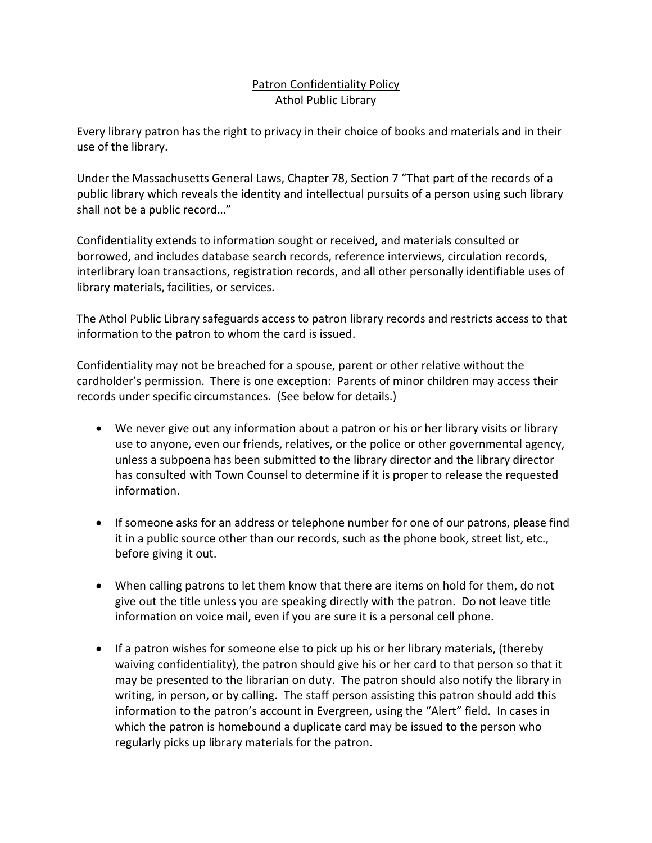## Patron Confidentiality Policy Athol Public Library

Every library patron has the right to privacy in their choice of books and materials and in their use of the library.

Under the Massachusetts General Laws, Chapter 78, Section 7 "That part of the records of a public library which reveals the identity and intellectual pursuits of a person using such library shall not be a public record…"

Confidentiality extends to information sought or received, and materials consulted or borrowed, and includes database search records, reference interviews, circulation records, interlibrary loan transactions, registration records, and all other personally identifiable uses of library materials, facilities, or services.

The Athol Public Library safeguards access to patron library records and restricts access to that information to the patron to whom the card is issued.

Confidentiality may not be breached for a spouse, parent or other relative without the cardholder's permission. There is one exception: Parents of minor children may access their records under specific circumstances. (See below for details.)

- We never give out any information about a patron or his or her library visits or library use to anyone, even our friends, relatives, or the police or other governmental agency, unless a subpoena has been submitted to the library director and the library director has consulted with Town Counsel to determine if it is proper to release the requested information.
- If someone asks for an address or telephone number for one of our patrons, please find it in a public source other than our records, such as the phone book, street list, etc., before giving it out.
- When calling patrons to let them know that there are items on hold for them, do not give out the title unless you are speaking directly with the patron. Do not leave title information on voice mail, even if you are sure it is a personal cell phone.
- If a patron wishes for someone else to pick up his or her library materials, (thereby waiving confidentiality), the patron should give his or her card to that person so that it may be presented to the librarian on duty. The patron should also notify the library in writing, in person, or by calling. The staff person assisting this patron should add this information to the patron's account in Evergreen, using the "Alert" field. In cases in which the patron is homebound a duplicate card may be issued to the person who regularly picks up library materials for the patron.